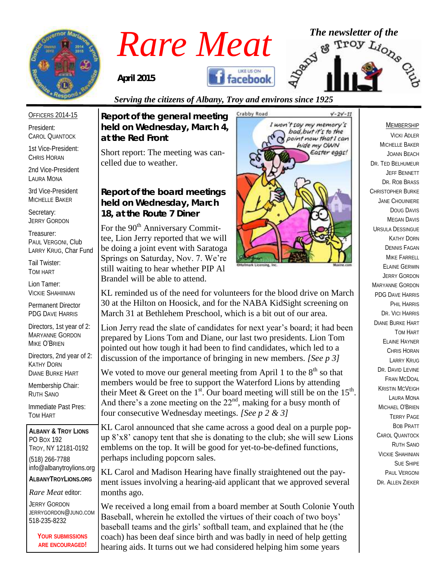

## *Rare Meat* The newsletter of the **Rare Meat** of the strong of  $\frac{1}{2}$ **facebook**

*April 2015*

*at the Red Front*

celled due to weather.

*Report of the general meeting held on Wednesday, March 4,* 

Short report: The meeting was can-

*Report of the board meetings held on Wednesday, March 18, at the Route 7 Diner* 

For the 90<sup>th</sup> Anniversary Committee, Lion Jerry reported that we will be doing a joint event with Saratoga Springs on Saturday, Nov. 7. We're still waiting to hear whether PIP Al Brandel will be able to attend.

### *Serving the citizens of Albany, Troy and environs since 1925*

OFFICERS 2014-15

President: CAROL QUANTOCK

1st Vice-President: CHRIS HORAN

2nd Vice-President LAURA MONA

3rd Vice-President MICHELLE BAKER

Secretary: JERRY GORDON

Treasurer: PAUL VERGONI, Club LARRY KRUG, Char Fund

Tail Twister: TOM HART

Lion Tamer: VICKIE SHAHIINIAN

Permanent Director PDG DAVE HARRIS

Directors, 1st year of 2: MARYANNE GORDON MIKE O'BRIEN

Directors, 2nd year of 2: KATHY DORN DIANE BURKE HART

Membership Chair: RUTH SANO

Immediate Past Pres: TOM HART

**ALBANY & TROY LIONS** PO BOX 192 TROY, NY 12181-0192 (518) 266-7788 info@albanytroylions.org **ALBANYTROYLIONS.ORG**

*Rare Meat* editor:

JERRY GORDON JERRYGORDON@JUNO.COM 518-235-8232

> **YOUR SUBMISSIONS ARE ENCOURAGED!**



KL reminded us of the need for volunteers for the blood drive on March 30 at the Hilton on Hoosick, and for the NABA KidSight screening on March 31 at Bethlehem Preschool, which is a bit out of our area.

Lion Jerry read the slate of candidates for next year's board; it had been prepared by Lions Tom and Diane, our last two presidents. Lion Tom pointed out how tough it had been to find candidates, which led to a discussion of the importance of bringing in new members. *[See p 3]*

We voted to move our general meeting from April 1 to the  $8<sup>th</sup>$  so that members would be free to support the Waterford Lions by attending their Meet & Greet on the 1<sup>st</sup>. Our board meeting will still be on the 15<sup>th</sup>. And there's a zone meeting on the  $22<sup>nd</sup>$ , making for a busy month of four consecutive Wednesday meetings. *[See p 2 & 3]*

KL Carol announced that she came across a good deal on a purple popup 8'x8' canopy tent that she is donating to the club; she will sew Lions emblems on the top. It will be good for yet-to-be-defined functions, perhaps including popcorn sales.

KL Carol and Madison Hearing have finally straightened out the payment issues involving a hearing-aid applicant that we approved several months ago.

We received a long email from a board member at South Colonie Youth Baseball, wherein he extolled the virtues of their coach of two boys' baseball teams and the girls' softball team, and explained that he (the coach) has been deaf since birth and was badly in need of help getting hearing aids. It turns out we had considered helping him some years

#### MEMBERSHIP

VICKI ADLER MICHELLE BAKER JOANN BEACH DR. TED BELHUMEUR JEFF BENNETT DR. ROB BRASS CHRISTOPHER BURKE JANE CHOUINIERE DOUG DAVIS MEGAN DAVIS URSULA DESSINGUE KATHY DORN DENNIS FAGAN MIKE FARRELL ELAINE GERWIN JERRY GORDON MARYANNE GORDON PDG DAVE HARRIS PHIL HARRIS DR. VICI HARRIS DIANE BURKE HART TOM HART ELAINE HAYNER CHRIS HORAN LARRY KRUG DR. DAVID I FVINE FRAN MCDOAL KRISTIN MCVEIGH LAURA MONA MICHAEL O'BRIEN TERRY PAGE BOB PRATT CAROL QUANTOCK RUTH SANO VICKIE SHAHINIAN SUE SHIPE PAUL VERGONI DR. ALLEN ZIEKER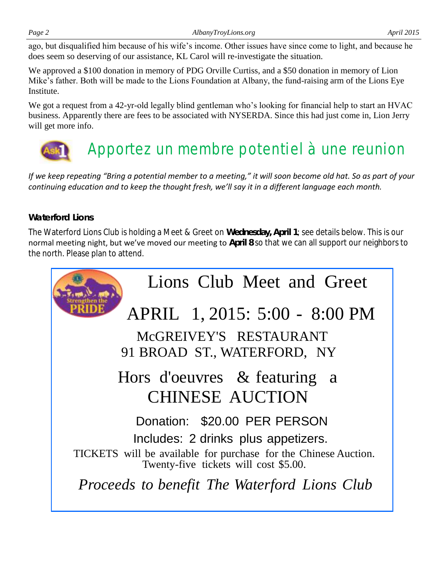ago, but disqualified him because of his wife's income. Other issues have since come to light, and because he does seem so deserving of our assistance, KL Carol will re-investigate the situation.

We approved a \$100 donation in memory of PDG Orville Curtiss, and a \$50 donation in memory of Lion Mike's father. Both will be made to the Lions Foundation at Albany, the fund-raising arm of the Lions Eye **Institute** 

We got a request from a 42-yr-old legally blind gentleman who's looking for financial help to start an HVAC business. Apparently there are fees to be associated with NYSERDA. Since this had just come in, Lion Jerry will get more info.

## Apportez un membre potentiel à une reunion

*If we keep repeating "Bring a potential member to a meeting," it will soon become old hat. So as part of your continuing education and to keep the thought fresh, we'll say it in a different language each month.*

#### *Waterford Lions*

The Waterford Lions Club is holding a Meet & Greet on **Wednesday, April 1**; see details below. This is our normal meeting night, but we've moved our meeting to **April 8** so that we can all support our neighbors to the north. Please plan to attend.

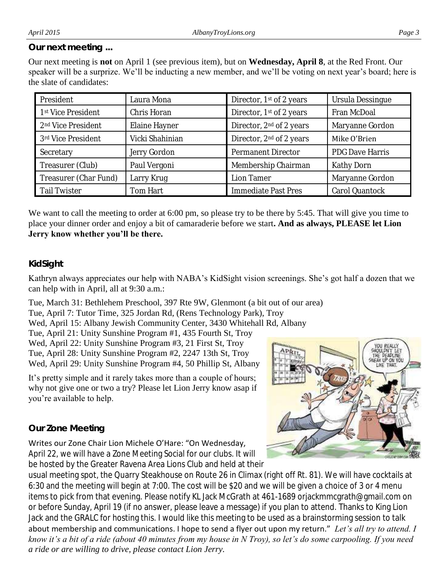#### *Our next meeting ...*

Our next meeting is **not** on April 1 (see previous item), but on **Wednesday, April 8**, at the Red Front. Our speaker will be a surprize. We'll be inducting a new member, and we'll be voting on next year's board; here is the slate of candidates:

| President                      | Laura Mona      | Director, 1 <sup>st</sup> of 2 years | Ursula Dessingue |  |
|--------------------------------|-----------------|--------------------------------------|------------------|--|
| 1st Vice President             | Chris Horan     | Director, 1st of 2 years             | Fran McDoal      |  |
| 2 <sup>nd</sup> Vice President | Elaine Hayner   | Director, 2 <sup>nd</sup> of 2 years | Maryanne Gordon  |  |
| 3rd Vice President             | Vicki Shahinian | Director, 2 <sup>nd</sup> of 2 years | Mike O'Brien     |  |
| Secretary                      | Jerry Gordon    | Permanent Director                   | PDG Dave Harris  |  |
| Treasurer (Club)               | Paul Vergoni    | Membership Chairman                  | Kathy Dorn       |  |
| Treasurer (Char Fund)          | Larry Krug      | Lion Tamer                           | Maryanne Gordon  |  |
| <b>Tail Twister</b>            | Tom Hart        | Immediate Past Pres                  | Carol Quantock   |  |

We want to call the meeting to order at 6:00 pm, so please try to be there by 5:45. That will give you time to place your dinner order and enjoy a bit of camaraderie before we start**. And as always, PLEASE let Lion Jerry know whether you'll be there.**

#### *KidSight*

Kathryn always appreciates our help with NABA's KidSight vision screenings. She's got half a dozen that we can help with in April, all at 9:30 a.m.:

Tue, March 31: Bethlehem Preschool, 397 Rte 9W, Glenmont (a bit out of our area) Tue, April 7: Tutor Time, 325 Jordan Rd, (Rens Technology Park), Troy Wed, April 15: Albany Jewish Community Center, 3430 Whitehall Rd, Albany Tue, April 21: Unity Sunshine Program #1, 435 Fourth St, Troy Wed, April 22: Unity Sunshine Program #3, 21 First St, Troy Tue, April 28: Unity Sunshine Program #2, 2247 13th St, Troy Wed, April 29: Unity Sunshine Program #4, 50 Phillip St, Albany

It's pretty simple and it rarely takes more than a couple of hours; why not give one or two a try? Please let Lion Jerry know asap if you're available to help.

#### *Our Zone Meeting*

#### Writes our Zone Chair Lion Michele O'Hare: "On Wednesday,

April 22, we will have a Zone Meeting Social for our clubs. It will be hosted by the Greater Ravena Area Lions Club and held at their

usual meeting spot, the Quarry Steakhouse on Route 26 in Climax (right off Rt. 81). We will have cocktails at 6:30 and the meeting will begin at 7:00. The cost will be \$20 and we will be given a choice of 3 or 4 menu items to pick from that evening. Please notify KL Jack McGrath at 461-1689 orjackmmcgrath@gmail.com on or before Sunday, April 19 (if no answer, please leave a message) if you plan to attend. Thanks to King Lion Jack and the GRALC for hosting this. I would like this meeting to be used as a brainstorming session to talk about membership and communications. I hope to send a flyer out upon my return." *Let's all try to attend. I know it's a bit of a ride (about 40 minutes from my house in N Troy), so let's do some carpooling. If you need a ride or are willing to drive, please contact Lion Jerry.*

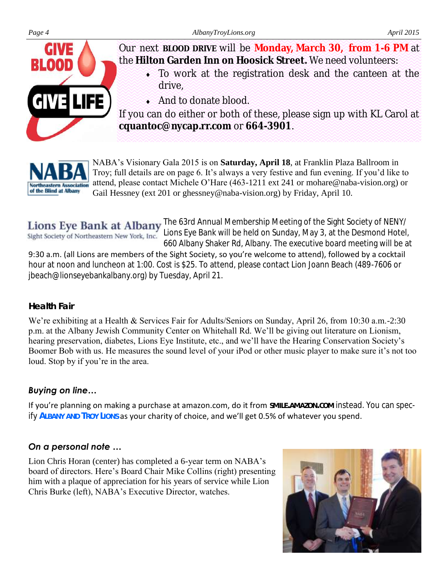

Our next **BLOOD DRIVE** will be **Monday, March 30, from 1-6 PM** at the **Hilton Garden Inn on Hoosick Street.** We need volunteers:

- To work at the registration desk and the canteen at the drive,
- And to donate blood.

If you can do either or both of these, please sign up with KL Carol at **cquantoc@nycap.rr.com** or **664-3901**.



NABA's Visionary Gala 2015 is on **Saturday, April 18**, at Franklin Plaza Ballroom in Troy; full details are on page 6. It's always a very festive and fun evening. If you'd like to attend, please contact Michele O'Hare (463-1211 ext 241 or mohare@naba-vision.org) or Gail Hessney (ext 201 or ghessney@naba-vision.org) by Friday, April 10.

Lions Eye Bank at Albany The 63rd Annual Membership Meeting of the Sight Society of NENY/ Sight Society of Northeastern New York, Inc. Lions Eye Bank will be held on Sunday, May 3, at the Desmond Hotel, 660 Albany Shaker Rd, Albany. The executive board meeting will be at 9:30 a.m. (all Lions are members of the Sight Society, so you're welcome to attend), followed by a cocktail hour at noon and luncheon at 1:00. Cost is \$25. To attend, please contact Lion Joann Beach (489-7606 or jbeach@lionseyebankalbany.org) by Tuesday, April 21.

#### *Health Fair*

We're exhibiting at a Health & Services Fair for Adults/Seniors on Sunday, April 26, from 10:30 a.m.-2:30 p.m. at the Albany Jewish Community Center on Whitehall Rd. We'll be giving out literature on Lionism, hearing preservation, diabetes, Lions Eye Institute, etc., and we'll have the Hearing Conservation Society's Boomer Bob with us. He measures the sound level of your iPod or other music player to make sure it's not too loud. Stop by if you're in the area.

#### *Buying on line…*

If you're planning on making a purchase at amazon.com, do it from **SMILE.AMAZON.COM** instead. You can specify **ALBANY AND TROY LIONS** as your charity of choice, and we'll get 0.5% of whatever you spend.

#### *On a personal note …*

Lion Chris Horan (center) has completed a 6-year term on NABA's board of directors. Here's Board Chair Mike Collins (right) presenting him with a plaque of appreciation for his years of service while Lion Chris Burke (left), NABA's Executive Director, watches.

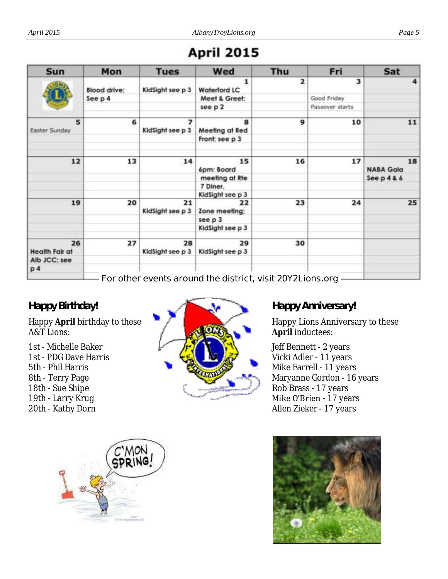## **April 2015**

| Sun                         | Mon                 | <b>Tues</b>                                  | Wed                                                       | Thu                     | Fri             | Sat                    |
|-----------------------------|---------------------|----------------------------------------------|-----------------------------------------------------------|-------------------------|-----------------|------------------------|
|                             | <b>Blood drive:</b> | KidSight see p 3                             | 1<br><b>Waterford LC</b>                                  | $\overline{\mathbf{2}}$ | 3               | $\overline{\bf 4}$     |
|                             | See p 4             |                                              | Meet & Greet;                                             |                         | Good Friday     |                        |
|                             |                     |                                              | see p 2                                                   |                         | Passover starts |                        |
| 5<br>Easter Sunday          | 6                   | $\overline{\phantom{a}}$<br>KidSight see p 3 | 8<br>Meeting at Red                                       | 9                       | 10              | 11                     |
|                             |                     |                                              | Front; see p 3                                            |                         |                 |                        |
| 12                          | 13                  | 14                                           | 15<br>6pm: Board                                          | 16                      | 17              | 18<br><b>NABA Gala</b> |
|                             |                     |                                              | meeting at Rte                                            |                         |                 | Seep $486$             |
|                             |                     |                                              | 7 Diner.                                                  |                         |                 |                        |
|                             |                     |                                              | KidSight see p 3                                          |                         |                 |                        |
| 19                          | 20                  | 21<br>KidSight see p 3                       | 22<br>Zone meeting:                                       | 23                      | 24              | 25                     |
|                             |                     |                                              | see p 3                                                   |                         |                 |                        |
|                             |                     |                                              | KidSight see p 3                                          |                         |                 |                        |
| 26<br><b>Health Fair at</b> | 27                  | 28<br>KidSight see p 3                       | 29<br>KidSight see p 3                                    | 30                      |                 |                        |
| Alb JCC; see                |                     |                                              |                                                           |                         |                 |                        |
| p <sub>4</sub>              |                     |                                              |                                                           |                         |                 |                        |
|                             |                     |                                              | For other events around the district, visit 20Y2Lions.org |                         |                 |                        |

#### *Happy Birthday!*

Happy **April** birthday to these A&T Lions:

1st - Michelle Baker 1st - PDG Dave Harris 5th - Phil Harris 8th - Terry Page 18th - Sue Shipe 19th - Larry Krug 20th - Kathy Dorn



#### *Happy Anniversary!*

Happy Lions Anniversary to these **April** inductees:

Jeff Bennett - 2 years Vicki Adler - 11 years Mike Farrell - 11 years Maryanne Gordon - 16 years Rob Brass - 17 years Mike O'Brien - 17 years Allen Zieker - 17 years